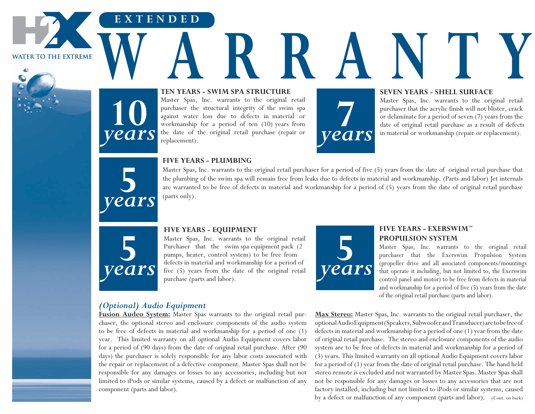**WATER TO THE EXTREME** 



# **Ten Years - SWIM Spa Structure W A R R A N TEN YEARS - SWIM SPA STRUCTURE**

Master Spas, Inc. warrants to the original retail purchaser the structural integrity of the swim spa against water loss due to defects in material or workmanship for a period of ten (10) years from the date of the original retail purchase (repair or replacement).



#### **SEVEN YEARS - SHELL SURFACE**

Master Spas, Inc. warrants to the original retail purchaser that the acrylic finish will not blister, crack or delaminate for a period of seven (7) years from the Master Spas, Inc. warrants to the original retail purchaser that the acrylic finish will not blister, crack or delaminate for a period of seven (7) years from the date of original retail purchase as a result of defects in



**10**

**E X T E N D E D**

*years*

#### **FIVE YEARS - PLUMBING**

Master Spas, Inc. warrants to the original retail purchaser for a period of five (5) years from the date of original retail purchase that the plumbing of the swim spa will remain free from leaks due to defects in material and workmanship. (Parts and labor) Jet internals are warranted to be free of defects in material and workmanship for a period of (5) years from the date of original retail purchase (parts only).



#### **FIVE YEARS - EQUIPMENT**

Master Spas, Inc. warrants to the original retail Purchaser that the swim spa equipment pack (2 pumps, heater, control system) to be free from defects in material and workmanship for a period of five (5) years from the date of the original retail purchase (parts and labor).



## **FIVE YEARS - EXERSWIM™ PROPULSION SYSTEM**

Master Spas, Inc. warrants to the original retail purchaser that the Exerswim Propulsion System (propeller drive and all associated components/mountings that operate it including, but not limited to, the Exerswim control panel and motor) to be free from defects in material and workmanship for a period of five (5) years from the date of the original retail purchase (parts and labor).

### *(Optional) Audio Equipment*

**Fusion Audeo System:** Master Spas warrants to the original retail purchaser, the optional stereo and enclosure components of the audio system to be free of defects in material and workmanship for a period of one (1) year. This limited warranty on all optional Audio Equipment covers labor for a period of (90 days) from the date of original retail purchase. After (90 days) the purchaser is solely responsible for any labor costs associated with the repair or replacement of a defective component. Master Spas shall not be responsible for any damages or losses to any accessories, including but not limited to iPods or similar systems, caused by a defect or malfunction of any component (parts and labor).

**Max Stereo:** Master Spas, Inc. warrants to the original retail purchaser, the optional Audio Equipment (Speakers, Subwoofer and Transducer) are to be free of defects in material and workmanship for a period of one (1) year from the date of original retail purchase. The stereo and enclosure components of the audio system are to be free of defects in material and workmanship for a period of (3) years. This limited warranty on all optional Audio Equipment covers labor for a period of (1) year from the date of original retail purchase. The hand held stereo remote is excluded and not warranted by Master Spas. Master Spas shall not be responsible for any damages or losses to any accessories that are not factory installed, including but not limited to iPods or similar systems, caused by a defect or malfunction of any component (parts and labor). (Cont. on back)